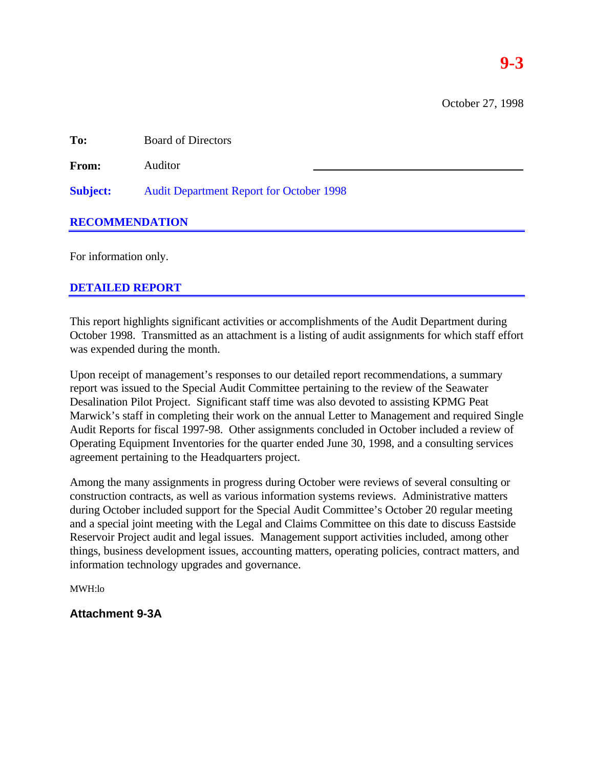October 27, 1998

**To:** Board of Directors

**From:** Auditor

**Subject:** Audit Department Report for October 1998

**RECOMMENDATION**

For information only.

## **DETAILED REPORT**

This report highlights significant activities or accomplishments of the Audit Department during October 1998. Transmitted as an attachment is a listing of audit assignments for which staff effort was expended during the month.

Upon receipt of management's responses to our detailed report recommendations, a summary report was issued to the Special Audit Committee pertaining to the review of the Seawater Desalination Pilot Project. Significant staff time was also devoted to assisting KPMG Peat Marwick's staff in completing their work on the annual Letter to Management and required Single Audit Reports for fiscal 1997-98. Other assignments concluded in October included a review of Operating Equipment Inventories for the quarter ended June 30, 1998, and a consulting services agreement pertaining to the Headquarters project.

Among the many assignments in progress during October were reviews of several consulting or construction contracts, as well as various information systems reviews. Administrative matters during October included support for the Special Audit Committee's October 20 regular meeting and a special joint meeting with the Legal and Claims Committee on this date to discuss Eastside Reservoir Project audit and legal issues. Management support activities included, among other things, business development issues, accounting matters, operating policies, contract matters, and information technology upgrades and governance.

MWH:lo

**Attachment 9-3A**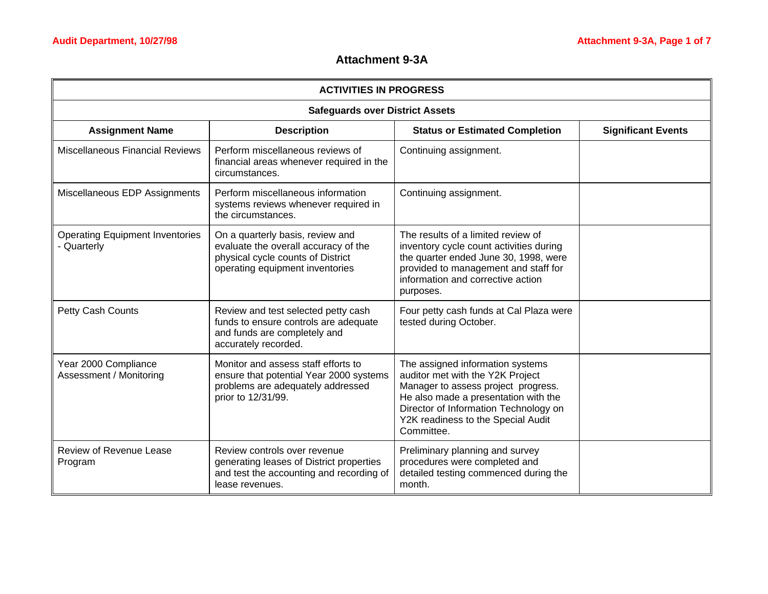## **Attachment 9-3A**

| <b>ACTIVITIES IN PROGRESS</b>                         |                                                                                                                                                  |                                                                                                                                                                                                                                                  |                           |
|-------------------------------------------------------|--------------------------------------------------------------------------------------------------------------------------------------------------|--------------------------------------------------------------------------------------------------------------------------------------------------------------------------------------------------------------------------------------------------|---------------------------|
|                                                       | <b>Safeguards over District Assets</b>                                                                                                           |                                                                                                                                                                                                                                                  |                           |
| <b>Assignment Name</b>                                | <b>Description</b>                                                                                                                               | <b>Status or Estimated Completion</b>                                                                                                                                                                                                            | <b>Significant Events</b> |
| <b>Miscellaneous Financial Reviews</b>                | Perform miscellaneous reviews of<br>financial areas whenever required in the<br>circumstances.                                                   | Continuing assignment.                                                                                                                                                                                                                           |                           |
| Miscellaneous EDP Assignments                         | Perform miscellaneous information<br>systems reviews whenever required in<br>the circumstances.                                                  | Continuing assignment.                                                                                                                                                                                                                           |                           |
| <b>Operating Equipment Inventories</b><br>- Quarterly | On a quarterly basis, review and<br>evaluate the overall accuracy of the<br>physical cycle counts of District<br>operating equipment inventories | The results of a limited review of<br>inventory cycle count activities during<br>the quarter ended June 30, 1998, were<br>provided to management and staff for<br>information and corrective action<br>purposes.                                 |                           |
| Petty Cash Counts                                     | Review and test selected petty cash<br>funds to ensure controls are adequate<br>and funds are completely and<br>accurately recorded.             | Four petty cash funds at Cal Plaza were<br>tested during October.                                                                                                                                                                                |                           |
| Year 2000 Compliance<br>Assessment / Monitoring       | Monitor and assess staff efforts to<br>ensure that potential Year 2000 systems<br>problems are adequately addressed<br>prior to 12/31/99.        | The assigned information systems<br>auditor met with the Y2K Project<br>Manager to assess project progress.<br>He also made a presentation with the<br>Director of Information Technology on<br>Y2K readiness to the Special Audit<br>Committee. |                           |
| <b>Review of Revenue Lease</b><br>Program             | Review controls over revenue<br>generating leases of District properties<br>and test the accounting and recording of<br>lease revenues.          | Preliminary planning and survey<br>procedures were completed and<br>detailed testing commenced during the<br>month.                                                                                                                              |                           |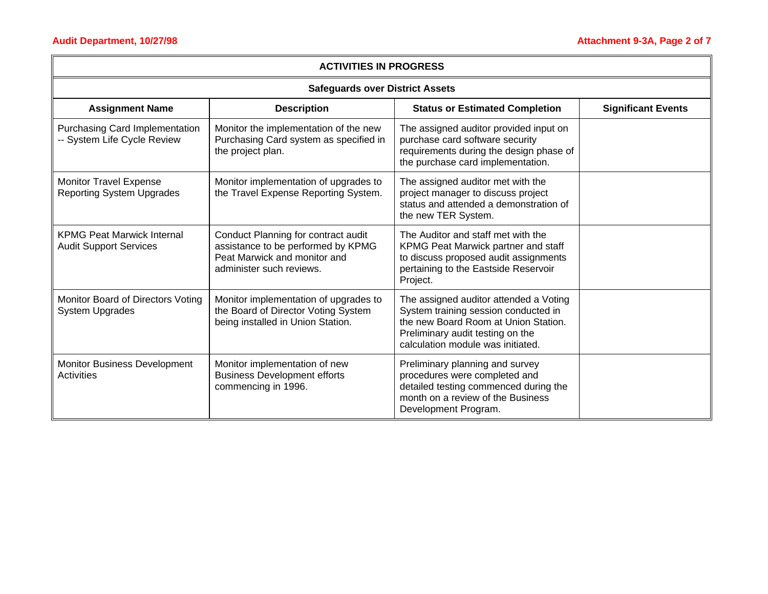| <b>ACTIVITIES IN PROGRESS</b>                                      |                                                                                                                                       |                                                                                                                                                                                                 |                           |  |  |
|--------------------------------------------------------------------|---------------------------------------------------------------------------------------------------------------------------------------|-------------------------------------------------------------------------------------------------------------------------------------------------------------------------------------------------|---------------------------|--|--|
|                                                                    | <b>Safeguards over District Assets</b>                                                                                                |                                                                                                                                                                                                 |                           |  |  |
| <b>Assignment Name</b>                                             | <b>Description</b>                                                                                                                    | <b>Status or Estimated Completion</b>                                                                                                                                                           | <b>Significant Events</b> |  |  |
| Purchasing Card Implementation<br>-- System Life Cycle Review      | Monitor the implementation of the new<br>Purchasing Card system as specified in<br>the project plan.                                  | The assigned auditor provided input on<br>purchase card software security<br>requirements during the design phase of<br>the purchase card implementation.                                       |                           |  |  |
| <b>Monitor Travel Expense</b><br><b>Reporting System Upgrades</b>  | Monitor implementation of upgrades to<br>the Travel Expense Reporting System.                                                         | The assigned auditor met with the<br>project manager to discuss project<br>status and attended a demonstration of<br>the new TER System.                                                        |                           |  |  |
| <b>KPMG Peat Marwick Internal</b><br><b>Audit Support Services</b> | Conduct Planning for contract audit<br>assistance to be performed by KPMG<br>Peat Marwick and monitor and<br>administer such reviews. | The Auditor and staff met with the<br>KPMG Peat Marwick partner and staff<br>to discuss proposed audit assignments<br>pertaining to the Eastside Reservoir<br>Project.                          |                           |  |  |
| Monitor Board of Directors Voting<br><b>System Upgrades</b>        | Monitor implementation of upgrades to<br>the Board of Director Voting System<br>being installed in Union Station.                     | The assigned auditor attended a Voting<br>System training session conducted in<br>the new Board Room at Union Station.<br>Preliminary audit testing on the<br>calculation module was initiated. |                           |  |  |
| Monitor Business Development<br>Activities                         | Monitor implementation of new<br><b>Business Development efforts</b><br>commencing in 1996.                                           | Preliminary planning and survey<br>procedures were completed and<br>detailed testing commenced during the<br>month on a review of the Business<br>Development Program.                          |                           |  |  |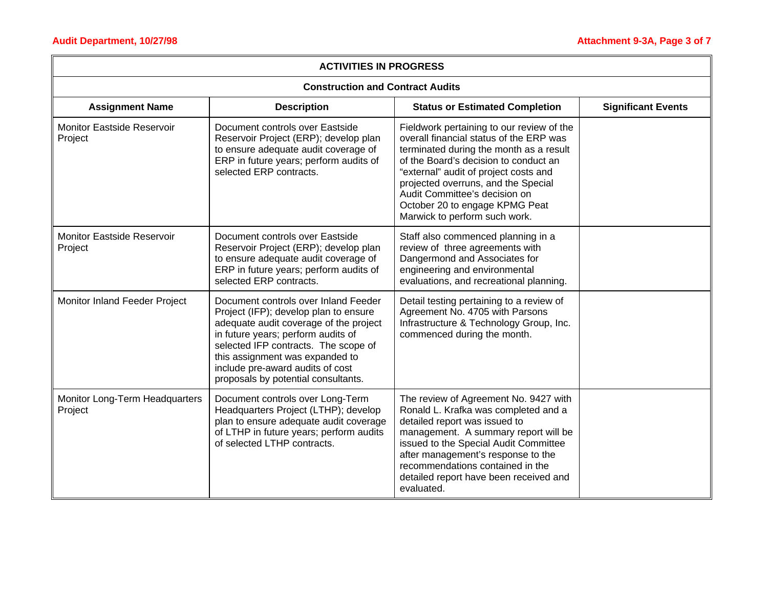| <b>ACTIVITIES IN PROGRESS</b>                |                                                                                                                                                                                                                                                                                                                     |                                                                                                                                                                                                                                                                                                                                                              |                           |  |
|----------------------------------------------|---------------------------------------------------------------------------------------------------------------------------------------------------------------------------------------------------------------------------------------------------------------------------------------------------------------------|--------------------------------------------------------------------------------------------------------------------------------------------------------------------------------------------------------------------------------------------------------------------------------------------------------------------------------------------------------------|---------------------------|--|
| <b>Construction and Contract Audits</b>      |                                                                                                                                                                                                                                                                                                                     |                                                                                                                                                                                                                                                                                                                                                              |                           |  |
| <b>Assignment Name</b>                       | <b>Description</b>                                                                                                                                                                                                                                                                                                  | <b>Status or Estimated Completion</b>                                                                                                                                                                                                                                                                                                                        | <b>Significant Events</b> |  |
| Monitor Eastside Reservoir<br>Project        | Document controls over Eastside<br>Reservoir Project (ERP); develop plan<br>to ensure adequate audit coverage of<br>ERP in future years; perform audits of<br>selected ERP contracts.                                                                                                                               | Fieldwork pertaining to our review of the<br>overall financial status of the ERP was<br>terminated during the month as a result<br>of the Board's decision to conduct an<br>"external" audit of project costs and<br>projected overruns, and the Special<br>Audit Committee's decision on<br>October 20 to engage KPMG Peat<br>Marwick to perform such work. |                           |  |
| <b>Monitor Eastside Reservoir</b><br>Project | Document controls over Eastside<br>Reservoir Project (ERP); develop plan<br>to ensure adequate audit coverage of<br>ERP in future years; perform audits of<br>selected ERP contracts.                                                                                                                               | Staff also commenced planning in a<br>review of three agreements with<br>Dangermond and Associates for<br>engineering and environmental<br>evaluations, and recreational planning.                                                                                                                                                                           |                           |  |
| Monitor Inland Feeder Project                | Document controls over Inland Feeder<br>Project (IFP); develop plan to ensure<br>adequate audit coverage of the project<br>in future years; perform audits of<br>selected IFP contracts. The scope of<br>this assignment was expanded to<br>include pre-award audits of cost<br>proposals by potential consultants. | Detail testing pertaining to a review of<br>Agreement No. 4705 with Parsons<br>Infrastructure & Technology Group, Inc.<br>commenced during the month.                                                                                                                                                                                                        |                           |  |
| Monitor Long-Term Headquarters<br>Project    | Document controls over Long-Term<br>Headquarters Project (LTHP); develop<br>plan to ensure adequate audit coverage<br>of LTHP in future years; perform audits<br>of selected LTHP contracts.                                                                                                                        | The review of Agreement No. 9427 with<br>Ronald L. Krafka was completed and a<br>detailed report was issued to<br>management. A summary report will be<br>issued to the Special Audit Committee<br>after management's response to the<br>recommendations contained in the<br>detailed report have been received and<br>evaluated.                            |                           |  |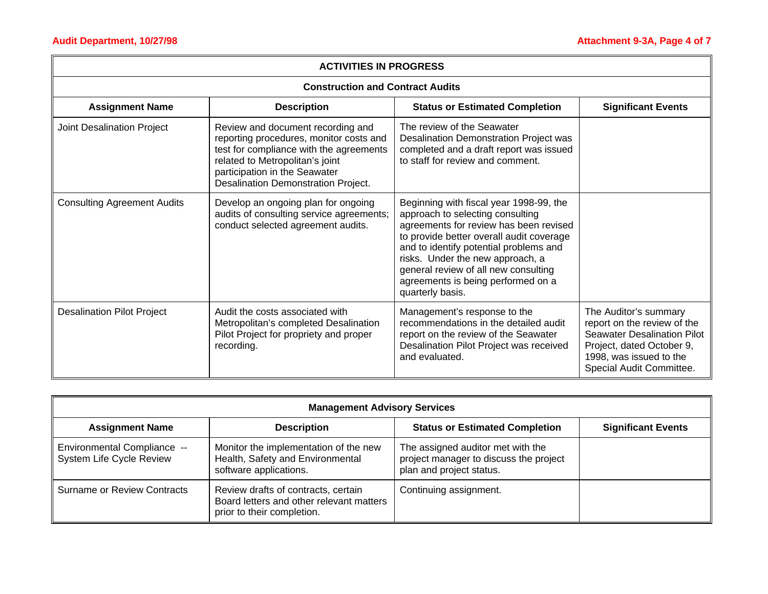| <b>ACTIVITIES IN PROGRESS</b>           |                                                                                                                                                                                                                                    |                                                                                                                                                                                                                                                                                                                                                   |                                                                                                                                                                                |
|-----------------------------------------|------------------------------------------------------------------------------------------------------------------------------------------------------------------------------------------------------------------------------------|---------------------------------------------------------------------------------------------------------------------------------------------------------------------------------------------------------------------------------------------------------------------------------------------------------------------------------------------------|--------------------------------------------------------------------------------------------------------------------------------------------------------------------------------|
| <b>Construction and Contract Audits</b> |                                                                                                                                                                                                                                    |                                                                                                                                                                                                                                                                                                                                                   |                                                                                                                                                                                |
| <b>Assignment Name</b>                  | <b>Description</b>                                                                                                                                                                                                                 | <b>Status or Estimated Completion</b>                                                                                                                                                                                                                                                                                                             | <b>Significant Events</b>                                                                                                                                                      |
| Joint Desalination Project              | Review and document recording and<br>reporting procedures, monitor costs and<br>test for compliance with the agreements<br>related to Metropolitan's joint<br>participation in the Seawater<br>Desalination Demonstration Project. | The review of the Seawater<br>Desalination Demonstration Project was<br>completed and a draft report was issued<br>to staff for review and comment.                                                                                                                                                                                               |                                                                                                                                                                                |
| <b>Consulting Agreement Audits</b>      | Develop an ongoing plan for ongoing<br>audits of consulting service agreements;<br>conduct selected agreement audits.                                                                                                              | Beginning with fiscal year 1998-99, the<br>approach to selecting consulting<br>agreements for review has been revised<br>to provide better overall audit coverage<br>and to identify potential problems and<br>risks. Under the new approach, a<br>general review of all new consulting<br>agreements is being performed on a<br>quarterly basis. |                                                                                                                                                                                |
| <b>Desalination Pilot Project</b>       | Audit the costs associated with<br>Metropolitan's completed Desalination<br>Pilot Project for propriety and proper<br>recording.                                                                                                   | Management's response to the<br>recommendations in the detailed audit<br>report on the review of the Seawater<br>Desalination Pilot Project was received<br>and evaluated.                                                                                                                                                                        | The Auditor's summary<br>report on the review of the<br><b>Seawater Desalination Pilot</b><br>Project, dated October 9,<br>1998, was issued to the<br>Special Audit Committee. |

| <b>Management Advisory Services</b>                     |                                                                                                               |                                                                                                         |                           |
|---------------------------------------------------------|---------------------------------------------------------------------------------------------------------------|---------------------------------------------------------------------------------------------------------|---------------------------|
| <b>Assignment Name</b>                                  | <b>Description</b>                                                                                            | <b>Status or Estimated Completion</b>                                                                   | <b>Significant Events</b> |
| Environmental Compliance --<br>System Life Cycle Review | Monitor the implementation of the new<br>Health, Safety and Environmental<br>software applications.           | The assigned auditor met with the<br>project manager to discuss the project<br>plan and project status. |                           |
| Surname or Review Contracts                             | Review drafts of contracts, certain<br>Board letters and other relevant matters<br>prior to their completion. | Continuing assignment.                                                                                  |                           |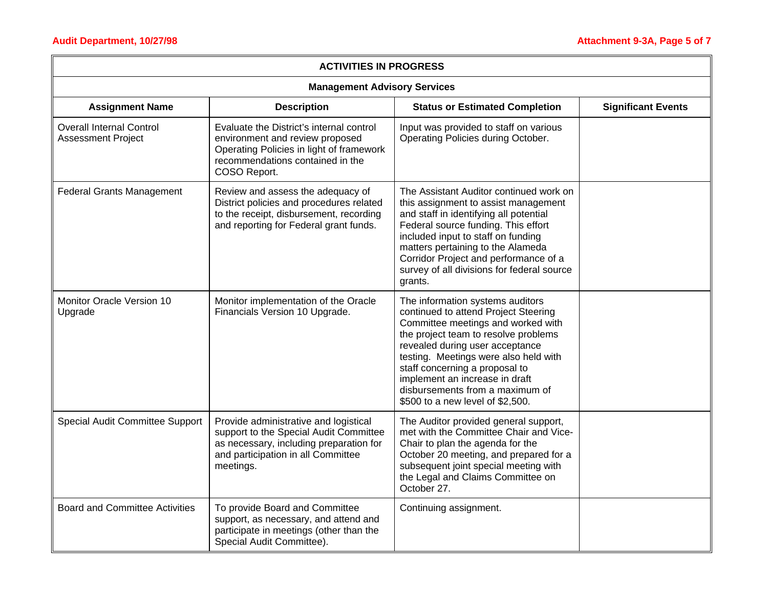| <b>ACTIVITIES IN PROGRESS</b>                                |                                                                                                                                                                               |                                                                                                                                                                                                                                                                                                                                                                               |                           |  |
|--------------------------------------------------------------|-------------------------------------------------------------------------------------------------------------------------------------------------------------------------------|-------------------------------------------------------------------------------------------------------------------------------------------------------------------------------------------------------------------------------------------------------------------------------------------------------------------------------------------------------------------------------|---------------------------|--|
| <b>Management Advisory Services</b>                          |                                                                                                                                                                               |                                                                                                                                                                                                                                                                                                                                                                               |                           |  |
| <b>Assignment Name</b>                                       | <b>Description</b>                                                                                                                                                            | <b>Status or Estimated Completion</b>                                                                                                                                                                                                                                                                                                                                         | <b>Significant Events</b> |  |
| <b>Overall Internal Control</b><br><b>Assessment Project</b> | Evaluate the District's internal control<br>environment and review proposed<br>Operating Policies in light of framework<br>recommendations contained in the<br>COSO Report.   | Input was provided to staff on various<br>Operating Policies during October.                                                                                                                                                                                                                                                                                                  |                           |  |
| <b>Federal Grants Management</b>                             | Review and assess the adequacy of<br>District policies and procedures related<br>to the receipt, disbursement, recording<br>and reporting for Federal grant funds.            | The Assistant Auditor continued work on<br>this assignment to assist management<br>and staff in identifying all potential<br>Federal source funding. This effort<br>included input to staff on funding<br>matters pertaining to the Alameda<br>Corridor Project and performance of a<br>survey of all divisions for federal source<br>grants.                                 |                           |  |
| Monitor Oracle Version 10<br>Upgrade                         | Monitor implementation of the Oracle<br>Financials Version 10 Upgrade.                                                                                                        | The information systems auditors<br>continued to attend Project Steering<br>Committee meetings and worked with<br>the project team to resolve problems<br>revealed during user acceptance<br>testing. Meetings were also held with<br>staff concerning a proposal to<br>implement an increase in draft<br>disbursements from a maximum of<br>\$500 to a new level of \$2,500. |                           |  |
| Special Audit Committee Support                              | Provide administrative and logistical<br>support to the Special Audit Committee<br>as necessary, including preparation for<br>and participation in all Committee<br>meetings. | The Auditor provided general support,<br>met with the Committee Chair and Vice-<br>Chair to plan the agenda for the<br>October 20 meeting, and prepared for a<br>subsequent joint special meeting with<br>the Legal and Claims Committee on<br>October 27.                                                                                                                    |                           |  |
| <b>Board and Committee Activities</b>                        | To provide Board and Committee<br>support, as necessary, and attend and<br>participate in meetings (other than the<br>Special Audit Committee).                               | Continuing assignment.                                                                                                                                                                                                                                                                                                                                                        |                           |  |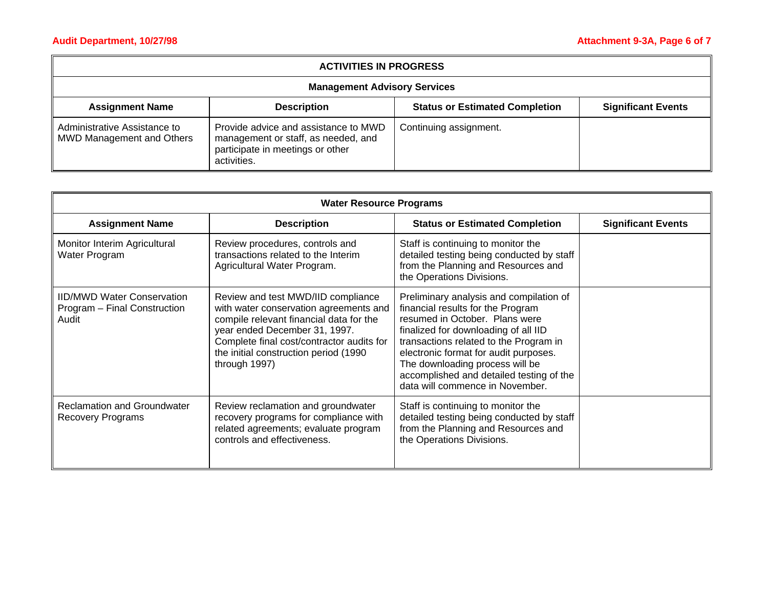| <b>ACTIVITIES IN PROGRESS</b>                                                                                      |                                                                                                                                |                        |  |  |
|--------------------------------------------------------------------------------------------------------------------|--------------------------------------------------------------------------------------------------------------------------------|------------------------|--|--|
| <b>Management Advisory Services</b>                                                                                |                                                                                                                                |                        |  |  |
| <b>Status or Estimated Completion</b><br><b>Description</b><br><b>Significant Events</b><br><b>Assignment Name</b> |                                                                                                                                |                        |  |  |
| Administrative Assistance to<br><b>MWD Management and Others</b>                                                   | Provide advice and assistance to MWD<br>management or staff, as needed, and<br>participate in meetings or other<br>activities. | Continuing assignment. |  |  |

| <b>Water Resource Programs</b>                                             |                                                                                                                                                                                                                                                                 |                                                                                                                                                                                                                                                                                                                                                             |                           |
|----------------------------------------------------------------------------|-----------------------------------------------------------------------------------------------------------------------------------------------------------------------------------------------------------------------------------------------------------------|-------------------------------------------------------------------------------------------------------------------------------------------------------------------------------------------------------------------------------------------------------------------------------------------------------------------------------------------------------------|---------------------------|
| <b>Assignment Name</b>                                                     | <b>Description</b>                                                                                                                                                                                                                                              | <b>Status or Estimated Completion</b>                                                                                                                                                                                                                                                                                                                       | <b>Significant Events</b> |
| Monitor Interim Agricultural<br>Water Program                              | Review procedures, controls and<br>transactions related to the Interim<br>Agricultural Water Program.                                                                                                                                                           | Staff is continuing to monitor the<br>detailed testing being conducted by staff<br>from the Planning and Resources and<br>the Operations Divisions.                                                                                                                                                                                                         |                           |
| <b>IID/MWD Water Conservation</b><br>Program - Final Construction<br>Audit | Review and test MWD/IID compliance<br>with water conservation agreements and<br>compile relevant financial data for the<br>year ended December 31, 1997.<br>Complete final cost/contractor audits for<br>the initial construction period (1990<br>through 1997) | Preliminary analysis and compilation of<br>financial results for the Program<br>resumed in October. Plans were<br>finalized for downloading of all IID<br>transactions related to the Program in<br>electronic format for audit purposes.<br>The downloading process will be<br>accomplished and detailed testing of the<br>data will commence in November. |                           |
| <b>Reclamation and Groundwater</b><br><b>Recovery Programs</b>             | Review reclamation and groundwater<br>recovery programs for compliance with<br>related agreements; evaluate program<br>controls and effectiveness.                                                                                                              | Staff is continuing to monitor the<br>detailed testing being conducted by staff<br>from the Planning and Resources and<br>the Operations Divisions.                                                                                                                                                                                                         |                           |